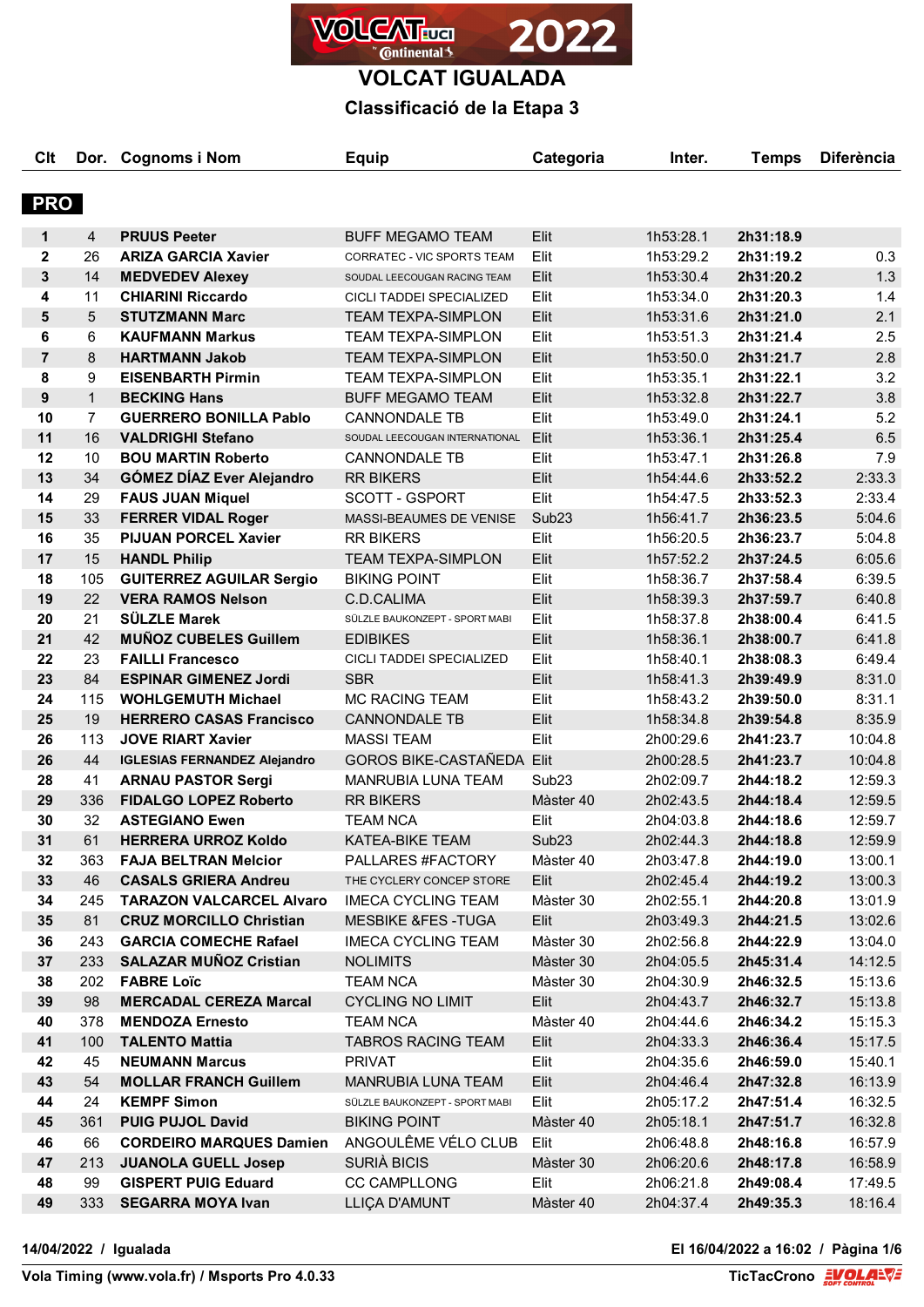

**VOLCAT IGUALADA**

## **Classificació de la Etapa 3**

| Clt            |                | Dor. Cognoms i Nom                  | <b>Equip</b>                     | Categoria         | Inter.    | <b>Temps</b> | <b>Diferència</b> |
|----------------|----------------|-------------------------------------|----------------------------------|-------------------|-----------|--------------|-------------------|
|                |                |                                     |                                  |                   |           |              |                   |
| <b>PRO</b>     |                |                                     |                                  |                   |           |              |                   |
|                |                |                                     |                                  |                   |           |              |                   |
| 1              | 4              | <b>PRUUS Peeter</b>                 | <b>BUFF MEGAMO TEAM</b>          | Elit              | 1h53:28.1 | 2h31:18.9    |                   |
| $\mathbf 2$    | 26             | <b>ARIZA GARCIA Xavier</b>          | CORRATEC - VIC SPORTS TEAM       | Elit              | 1h53:29.2 | 2h31:19.2    | 0.3               |
| 3              | 14             | <b>MEDVEDEV Alexey</b>              | SOUDAL LEECOUGAN RACING TEAM     | Elit              | 1h53:30.4 | 2h31:20.2    | 1.3               |
| 4              | 11             | <b>CHIARINI Riccardo</b>            | CICLI TADDEI SPECIALIZED         | Elit              | 1h53:34.0 | 2h31:20.3    | 1.4               |
| 5              | 5              | <b>STUTZMANN Marc</b>               | <b>TEAM TEXPA-SIMPLON</b>        | Elit              | 1h53:31.6 | 2h31:21.0    | 2.1               |
| 6              | 6              | <b>KAUFMANN Markus</b>              | <b>TEAM TEXPA-SIMPLON</b>        | Elit              | 1h53:51.3 | 2h31:21.4    | 2.5               |
| $\overline{7}$ | 8              | <b>HARTMANN Jakob</b>               | <b>TEAM TEXPA-SIMPLON</b>        | Elit              | 1h53:50.0 | 2h31:21.7    | 2.8               |
| 8              | 9              | <b>EISENBARTH Pirmin</b>            | <b>TEAM TEXPA-SIMPLON</b>        | Elit              | 1h53:35.1 | 2h31:22.1    | 3.2               |
| 9              | $\mathbf{1}$   | <b>BECKING Hans</b>                 | <b>BUFF MEGAMO TEAM</b>          | Elit              | 1h53:32.8 | 2h31:22.7    | 3.8               |
| 10             | $\overline{7}$ | <b>GUERRERO BONILLA Pablo</b>       | <b>CANNONDALE TB</b>             | Elit              | 1h53:49.0 | 2h31:24.1    | 5.2               |
| 11             | 16             | <b>VALDRIGHI Stefano</b>            | SOUDAL LEECOUGAN INTERNATIONAL   | Elit              | 1h53:36.1 | 2h31:25.4    | 6.5               |
| 12             | 10             | <b>BOU MARTIN Roberto</b>           | <b>CANNONDALE TB</b>             | Elit              | 1h53:47.1 | 2h31:26.8    | 7.9               |
| 13             | 34             | <b>GÓMEZ DÍAZ Ever Alejandro</b>    | <b>RR BIKERS</b>                 | Elit              | 1h54:44.6 | 2h33:52.2    | 2:33.3            |
| 14             | 29             | <b>FAUS JUAN Miquel</b>             | SCOTT - GSPORT                   | Elit              | 1h54:47.5 | 2h33:52.3    | 2:33.4            |
| 15             | 33             | <b>FERRER VIDAL Roger</b>           | MASSI-BEAUMES DE VENISE          | Sub <sub>23</sub> | 1h56:41.7 | 2h36:23.5    | 5:04.6            |
| 16             | 35             | <b>PIJUAN PORCEL Xavier</b>         | <b>RR BIKERS</b>                 | Elit              | 1h56:20.5 | 2h36:23.7    | 5:04.8            |
| 17             | 15             | <b>HANDL Philip</b>                 | <b>TEAM TEXPA-SIMPLON</b>        | Elit              | 1h57:52.2 | 2h37:24.5    | 6:05.6            |
| 18             | 105            | <b>GUITERREZ AGUILAR Sergio</b>     | <b>BIKING POINT</b>              | Elit              | 1h58:36.7 | 2h37:58.4    | 6:39.5            |
| 19             | 22             | <b>VERA RAMOS Nelson</b>            | C.D.CALIMA                       | Elit              | 1h58:39.3 | 2h37:59.7    | 6:40.8            |
| 20             | 21             | <b>SÜLZLE Marek</b>                 | SÜLZLE BAUKONZEPT - SPORT MABI   | Elit              | 1h58:37.8 | 2h38:00.4    | 6:41.5            |
| 21             | 42             | <b>MUÑOZ CUBELES Guillem</b>        | <b>EDIBIKES</b>                  | Elit              | 1h58:36.1 | 2h38:00.7    | 6:41.8            |
| 22             | 23             | <b>FAILLI Francesco</b>             | CICLI TADDEI SPECIALIZED         | Elit              | 1h58:40.1 | 2h38:08.3    | 6:49.4            |
| 23             | 84             | <b>ESPINAR GIMENEZ Jordi</b>        | <b>SBR</b>                       | Elit              | 1h58:41.3 | 2h39:49.9    | 8:31.0            |
| 24             | 115            | <b>WOHLGEMUTH Michael</b>           | <b>MC RACING TEAM</b>            | Elit              | 1h58:43.2 | 2h39:50.0    | 8:31.1            |
| 25             | 19             | <b>HERRERO CASAS Francisco</b>      | <b>CANNONDALE TB</b>             | Elit              | 1h58:34.8 | 2h39:54.8    | 8:35.9            |
| 26             | 113            | <b>JOVE RIART Xavier</b>            | <b>MASSI TEAM</b>                | Elit              | 2h00:29.6 | 2h41:23.7    | 10:04.8           |
| 26             | 44             | <b>IGLESIAS FERNANDEZ Alejandro</b> | <b>GOROS BIKE-CASTAÑEDA Elit</b> |                   | 2h00:28.5 | 2h41:23.7    | 10:04.8           |
| 28             | 41             | <b>ARNAU PASTOR Sergi</b>           | MANRUBIA LUNA TEAM               | Sub <sub>23</sub> | 2h02:09.7 | 2h44:18.2    | 12:59.3           |
| 29             | 336            | <b>FIDALGO LOPEZ Roberto</b>        | <b>RR BIKERS</b>                 | Màster 40         | 2h02:43.5 | 2h44:18.4    | 12:59.5           |
| 30             | 32             | <b>ASTEGIANO Ewen</b>               | <b>TEAM NCA</b>                  | Elit              | 2h04:03.8 | 2h44:18.6    | 12:59.7           |
| 31             | 61             | <b>HERRERA URROZ Koldo</b>          | KATEA-BIKE TEAM                  | Sub <sub>23</sub> | 2h02:44.3 | 2h44:18.8    | 12:59.9           |
| 32             | 363            | <b>FAJA BELTRAN Melcior</b>         | PALLARES #FACTORY                | Màster 40         | 2h03:47.8 | 2h44:19.0    | 13:00.1           |
| 33             | 46             | <b>CASALS GRIERA Andreu</b>         | THE CYCLERY CONCEP STORE         | Elit              | 2h02:45.4 | 2h44:19.2    | 13:00.3           |
| 34             | 245            | <b>TARAZON VALCARCEL Alvaro</b>     | <b>IMECA CYCLING TEAM</b>        | Màster 30         | 2h02:55.1 | 2h44:20.8    | 13:01.9           |
| 35             | 81             | <b>CRUZ MORCILLO Christian</b>      | <b>MESBIKE &amp;FES-TUGA</b>     | Elit              | 2h03:49.3 | 2h44:21.5    | 13:02.6           |
| 36             | 243            | <b>GARCIA COMECHE Rafael</b>        | <b>IMECA CYCLING TEAM</b>        | Màster 30         | 2h02:56.8 | 2h44:22.9    | 13:04.0           |
| 37             | 233            | <b>SALAZAR MUÑOZ Cristian</b>       | <b>NOLIMITS</b>                  | Màster 30         | 2h04:05.5 | 2h45:31.4    | 14:12.5           |
| 38             | 202            | <b>FABRE Loïc</b>                   | <b>TEAM NCA</b>                  | Màster 30         | 2h04:30.9 | 2h46:32.5    | 15:13.6           |
| 39             | 98             | <b>MERCADAL CEREZA Marcal</b>       | <b>CYCLING NO LIMIT</b>          | Elit              | 2h04:43.7 | 2h46:32.7    | 15:13.8           |
| 40             | 378            | <b>MENDOZA Ernesto</b>              | <b>TEAM NCA</b>                  | Màster 40         | 2h04:44.6 | 2h46:34.2    | 15:15.3           |
| 41             | 100            | <b>TALENTO Mattia</b>               | <b>TABROS RACING TEAM</b>        | Elit              | 2h04:33.3 | 2h46:36.4    | 15:17.5           |
| 42             | 45             | <b>NEUMANN Marcus</b>               | <b>PRIVAT</b>                    | Elit              | 2h04:35.6 | 2h46:59.0    | 15:40.1           |
| 43             | 54             | <b>MOLLAR FRANCH Guillem</b>        | MANRUBIA LUNA TEAM               | Elit              | 2h04:46.4 | 2h47:32.8    | 16:13.9           |
| 44             | 24             | <b>KEMPF Simon</b>                  | SÜLZLE BAUKONZEPT - SPORT MABI   | Elit              | 2h05:17.2 | 2h47:51.4    | 16:32.5           |
| 45             | 361            | <b>PUIG PUJOL David</b>             | <b>BIKING POINT</b>              | Màster 40         | 2h05:18.1 | 2h47:51.7    | 16:32.8           |
| 46             | 66             | <b>CORDEIRO MARQUES Damien</b>      | ANGOULÊME VÉLO CLUB              | Elit              | 2h06:48.8 | 2h48:16.8    | 16:57.9           |
| 47             | 213            | <b>JUANOLA GUELL Josep</b>          | SURIÀ BICIS                      | Màster 30         | 2h06:20.6 | 2h48:17.8    | 16:58.9           |
| 48             | 99             | <b>GISPERT PUIG Eduard</b>          | <b>CC CAMPLLONG</b>              | Elit              | 2h06:21.8 | 2h49:08.4    | 17:49.5           |
| 49             | 333            | <b>SEGARRA MOYA Ivan</b>            | LLIÇA D'AMUNT                    | Màster 40         | 2h04:37.4 | 2h49:35.3    | 18:16.4           |
|                |                |                                     |                                  |                   |           |              |                   |

**14/04/2022 / Igualada El 16/04/2022 a 16:02 / Pàgina 1/6**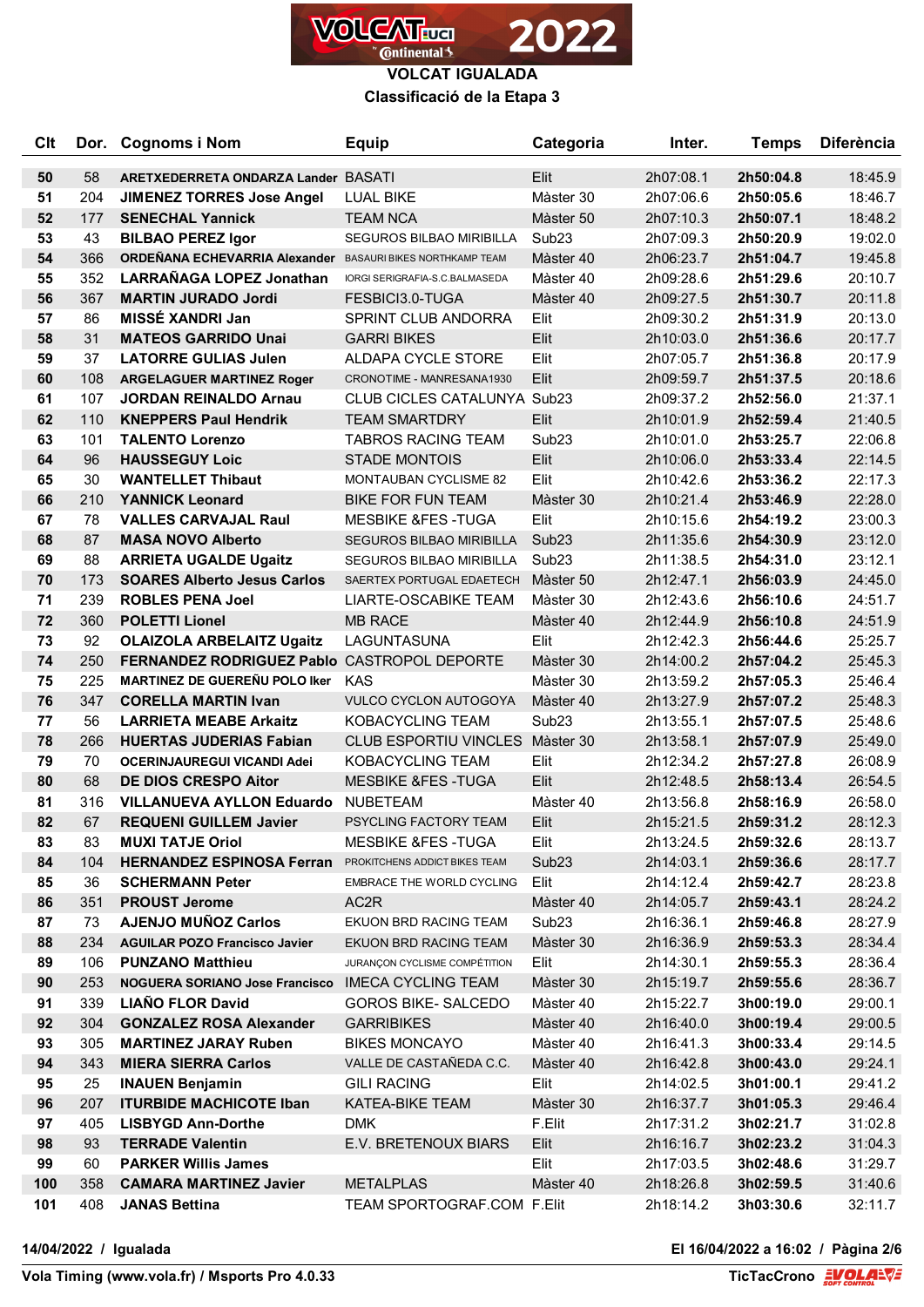

**VOLCAT IGUALADA Classificació de la Etapa 3**

| <b>Clt</b> | Dor. | <b>Cognoms i Nom</b>                                       | <b>Equip</b>                    | Categoria         | Inter.    | <b>Temps</b> | <b>Diferència</b> |
|------------|------|------------------------------------------------------------|---------------------------------|-------------------|-----------|--------------|-------------------|
| 50         | 58   | ARETXEDERRETA ONDARZA Lander BASATI                        |                                 | Elit              | 2h07:08.1 | 2h50:04.8    | 18:45.9           |
| 51         | 204  | <b>JIMENEZ TORRES Jose Angel</b>                           | <b>LUAL BIKE</b>                | Màster 30         | 2h07:06.6 | 2h50:05.6    | 18:46.7           |
| 52         | 177  | <b>SENECHAL Yannick</b>                                    | <b>TEAM NCA</b>                 | Màster 50         | 2h07:10.3 | 2h50:07.1    | 18:48.2           |
| 53         | 43   | <b>BILBAO PEREZ Igor</b>                                   | SEGUROS BILBAO MIRIBILLA        | Sub <sub>23</sub> | 2h07:09.3 | 2h50:20.9    | 19:02.0           |
| 54         | 366  | ORDEÑANA ECHEVARRIA Alexander BASAURI BIKES NORTHKAMP TEAM |                                 | Màster 40         | 2h06:23.7 | 2h51:04.7    | 19:45.8           |
| 55         | 352  | LARRAÑAGA LOPEZ Jonathan                                   | IORGI SERIGRAFIA-S.C.BALMASEDA  | Màster 40         | 2h09:28.6 | 2h51:29.6    | 20:10.7           |
| 56         | 367  | <b>MARTIN JURADO Jordi</b>                                 | FESBICI3.0-TUGA                 | Màster 40         | 2h09:27.5 | 2h51:30.7    | 20:11.8           |
| 57         | 86   | MISSÉ XANDRI Jan                                           | SPRINT CLUB ANDORRA             | Elit              | 2h09:30.2 | 2h51:31.9    | 20:13.0           |
| 58         | 31   | <b>MATEOS GARRIDO Unai</b>                                 | <b>GARRI BIKES</b>              | Elit              | 2h10:03.0 | 2h51:36.6    | 20:17.7           |
| 59         | 37   | <b>LATORRE GULIAS Julen</b>                                | ALDAPA CYCLE STORE              | Elit              | 2h07:05.7 | 2h51:36.8    | 20:17.9           |
| 60         | 108  | <b>ARGELAGUER MARTINEZ Roger</b>                           | CRONOTIME - MANRESANA1930       | Elit              | 2h09:59.7 | 2h51:37.5    | 20:18.6           |
| 61         | 107  | <b>JORDAN REINALDO Arnau</b>                               | CLUB CICLES CATALUNYA Sub23     |                   | 2h09:37.2 | 2h52:56.0    | 21:37.1           |
| 62         | 110  | <b>KNEPPERS Paul Hendrik</b>                               | <b>TEAM SMARTDRY</b>            | Elit              | 2h10:01.9 | 2h52:59.4    | 21:40.5           |
| 63         | 101  | <b>TALENTO Lorenzo</b>                                     | <b>TABROS RACING TEAM</b>       | Sub <sub>23</sub> | 2h10:01.0 | 2h53:25.7    | 22:06.8           |
| 64         | 96   | <b>HAUSSEGUY Loic</b>                                      | <b>STADE MONTOIS</b>            | Elit              | 2h10:06.0 | 2h53:33.4    | 22:14.5           |
| 65         | 30   | <b>WANTELLET Thibaut</b>                                   | <b>MONTAUBAN CYCLISME 82</b>    | Elit              | 2h10:42.6 | 2h53:36.2    | 22:17.3           |
| 66         | 210  | <b>YANNICK Leonard</b>                                     | <b>BIKE FOR FUN TEAM</b>        | Màster 30         | 2h10:21.4 | 2h53:46.9    | 22:28.0           |
| 67         | 78   | <b>VALLES CARVAJAL Raul</b>                                | <b>MESBIKE &amp;FES-TUGA</b>    | Elit              | 2h10:15.6 | 2h54:19.2    | 23:00.3           |
| 68         | 87   | <b>MASA NOVO Alberto</b>                                   | <b>SEGUROS BILBAO MIRIBILLA</b> | Sub <sub>23</sub> | 2h11:35.6 | 2h54:30.9    | 23:12.0           |
| 69         | 88   | <b>ARRIETA UGALDE Ugaitz</b>                               | <b>SEGUROS BILBAO MIRIBILLA</b> | Sub <sub>23</sub> | 2h11:38.5 | 2h54:31.0    | 23:12.1           |
| 70         | 173  | <b>SOARES Alberto Jesus Carlos</b>                         | SAERTEX PORTUGAL EDAETECH       | Màster 50         | 2h12:47.1 | 2h56:03.9    | 24:45.0           |
| 71         | 239  | <b>ROBLES PENA Joel</b>                                    | LIARTE-OSCABIKE TEAM            | Màster 30         | 2h12:43.6 | 2h56:10.6    | 24:51.7           |
| 72         | 360  | <b>POLETTI Lionel</b>                                      | <b>MB RACE</b>                  | Màster 40         | 2h12:44.9 | 2h56:10.8    | 24:51.9           |
| 73         | 92   | <b>OLAIZOLA ARBELAITZ Ugaitz</b>                           | LAGUNTASUNA                     | Elit              | 2h12:42.3 | 2h56:44.6    | 25:25.7           |
| 74         | 250  | FERNANDEZ RODRIGUEZ Pablo CASTROPOL DEPORTE                |                                 | Màster 30         | 2h14:00.2 | 2h57:04.2    | 25:45.3           |
| 75         | 225  | MARTINEZ DE GUEREÑU POLO Iker KAS                          |                                 | Màster 30         | 2h13:59.2 | 2h57:05.3    | 25:46.4           |
| 76         | 347  | <b>CORELLA MARTIN Ivan</b>                                 | <b>VULCO CYCLON AUTOGOYA</b>    | Màster 40         | 2h13:27.9 | 2h57:07.2    | 25:48.3           |
| 77         | 56   | <b>LARRIETA MEABE Arkaitz</b>                              | KOBACYCLING TEAM                | Sub <sub>23</sub> | 2h13:55.1 | 2h57:07.5    | 25:48.6           |
| 78         | 266  | <b>HUERTAS JUDERIAS Fabian</b>                             | <b>CLUB ESPORTIU VINCLES</b>    | Màster 30         | 2h13:58.1 | 2h57:07.9    | 25:49.0           |
| 79         | 70   | <b>OCERINJAUREGUI VICANDI Adei</b>                         | KOBACYCLING TEAM                | Elit              | 2h12:34.2 | 2h57:27.8    | 26:08.9           |
| 80         | 68   | <b>DE DIOS CRESPO Aitor</b>                                | <b>MESBIKE &amp;FES-TUGA</b>    | Elit              | 2h12:48.5 | 2h58:13.4    | 26:54.5           |
| 81         | 316  | <b>VILLANUEVA AYLLON Eduardo</b>                           | NUBETEAM                        | Màster 40         | 2h13:56.8 | 2h58:16.9    | 26:58.0           |
| 82         | 67   | <b>REQUENI GUILLEM Javier</b>                              | <b>PSYCLING FACTORY TEAM</b>    | Elit              | 2h15:21.5 | 2h59:31.2    | 28:12.3           |
| 83         | 83   | <b>MUXI TATJE Oriol</b>                                    | <b>MESBIKE &amp;FES-TUGA</b>    | Elit              | 2h13:24.5 | 2h59:32.6    | 28:13.7           |
| 84         | 104  | <b>HERNANDEZ ESPINOSA Ferran</b>                           | PROKITCHENS ADDICT BIKES TEAM   | Sub <sub>23</sub> | 2h14:03.1 | 2h59:36.6    | 28:17.7           |
| 85         | 36   | <b>SCHERMANN Peter</b>                                     | EMBRACE THE WORLD CYCLING       | Elit              | 2h14:12.4 | 2h59:42.7    | 28:23.8           |
| 86         | 351  | <b>PROUST Jerome</b>                                       | AC <sub>2</sub> R               | Màster 40         | 2h14:05.7 | 2h59:43.1    | 28:24.2           |
| 87         | 73   | <b>AJENJO MUÑOZ Carlos</b>                                 | EKUON BRD RACING TEAM           | Sub <sub>23</sub> | 2h16:36.1 | 2h59:46.8    | 28:27.9           |
| 88         | 234  | <b>AGUILAR POZO Francisco Javier</b>                       | EKUON BRD RACING TEAM           | Màster 30         | 2h16:36.9 | 2h59:53.3    | 28:34.4           |
| 89         | 106  | <b>PUNZANO Matthieu</b>                                    | JURANÇON CYCLISME COMPÉTITION   | Elit              | 2h14:30.1 | 2h59:55.3    | 28:36.4           |
| 90         | 253  | <b>NOGUERA SORIANO Jose Francisco</b>                      | <b>IMECA CYCLING TEAM</b>       | Màster 30         | 2h15:19.7 | 2h59:55.6    | 28:36.7           |
| 91         | 339  | <b>LIAÑO FLOR David</b>                                    | <b>GOROS BIKE- SALCEDO</b>      | Màster 40         | 2h15:22.7 | 3h00:19.0    | 29:00.1           |
| 92         | 304  | <b>GONZALEZ ROSA Alexander</b>                             | <b>GARRIBIKES</b>               | Màster 40         | 2h16:40.0 | 3h00:19.4    | 29:00.5           |
| 93         | 305  | <b>MARTINEZ JARAY Ruben</b>                                | <b>BIKES MONCAYO</b>            | Màster 40         | 2h16:41.3 | 3h00:33.4    | 29:14.5           |
| 94         | 343  | <b>MIERA SIERRA Carlos</b>                                 | VALLE DE CASTAÑEDA C.C.         | Màster 40         | 2h16:42.8 | 3h00:43.0    | 29:24.1           |
| 95         | 25   | <b>INAUEN Benjamin</b>                                     | <b>GILI RACING</b>              | Elit              | 2h14:02.5 | 3h01:00.1    | 29:41.2           |
| 96         | 207  | <b>ITURBIDE MACHICOTE Iban</b>                             | KATEA-BIKE TEAM                 | Màster 30         | 2h16:37.7 | 3h01:05.3    | 29:46.4           |
| 97         | 405  | <b>LISBYGD Ann-Dorthe</b>                                  | <b>DMK</b>                      | F.Elit            | 2h17:31.2 | 3h02:21.7    | 31:02.8           |
| 98         | 93   | <b>TERRADE Valentin</b>                                    | E.V. BRETENOUX BIARS            | Elit              | 2h16:16.7 | 3h02:23.2    | 31:04.3           |
| 99         | 60   | <b>PARKER Willis James</b>                                 |                                 | Elit              | 2h17:03.5 | 3h02:48.6    | 31:29.7           |
| 100        | 358  | <b>CAMARA MARTINEZ Javier</b>                              | <b>METALPLAS</b>                | Màster 40         | 2h18:26.8 | 3h02:59.5    | 31:40.6           |
| 101        | 408  | <b>JANAS Bettina</b>                                       | TEAM SPORTOGRAF.COM F.Elit      |                   | 2h18:14.2 | 3h03:30.6    | 32:11.7           |

 $\overline{a}$ 

**14/04/2022 / Igualada El 16/04/2022 a 16:02 / Pàgina 2/6**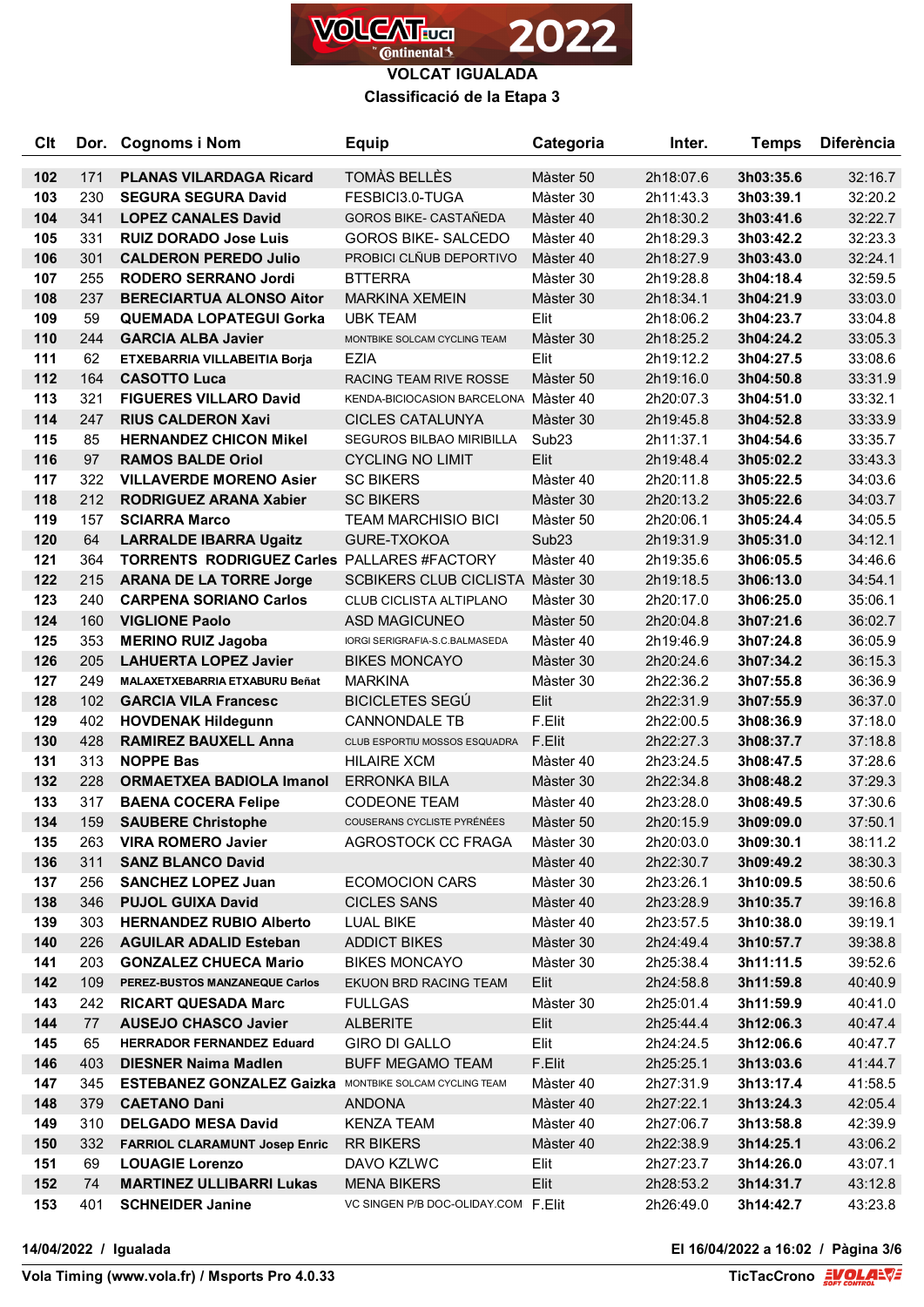

**VOLCAT IGUALADA**

**Classificació de la Etapa 3**

| <b>Clt</b> |            | Dor. Cognoms i Nom                                              | <b>Equip</b>                                | Categoria              | Inter.                 | <b>Temps</b>           | <b>Diferència</b>  |
|------------|------------|-----------------------------------------------------------------|---------------------------------------------|------------------------|------------------------|------------------------|--------------------|
| 102        | 171        | <b>PLANAS VILARDAGA Ricard</b>                                  | TOMÀS BELLÈS                                | Màster 50              | 2h18:07.6              | 3h03:35.6              | 32:16.7            |
| 103        | 230        | <b>SEGURA SEGURA David</b>                                      | FESBICI3.0-TUGA                             | Màster 30              | 2h11:43.3              | 3h03:39.1              | 32:20.2            |
| 104        | 341        | <b>LOPEZ CANALES David</b>                                      | <b>GOROS BIKE- CASTAÑEDA</b>                | Màster 40              | 2h18:30.2              | 3h03:41.6              | 32:22.7            |
| 105        | 331        | <b>RUIZ DORADO Jose Luis</b>                                    | <b>GOROS BIKE- SALCEDO</b>                  | Màster 40              | 2h18:29.3              | 3h03:42.2              | 32:23.3            |
| 106        | 301        | <b>CALDERON PEREDO Julio</b>                                    | PROBICI CLÑUB DEPORTIVO                     | Màster 40              | 2h18:27.9              | 3h03:43.0              | 32:24.1            |
| 107        | 255        | RODERO SERRANO Jordi                                            | <b>BTTERRA</b>                              | Màster 30              | 2h19:28.8              | 3h04:18.4              | 32:59.5            |
| 108        | 237        | <b>BERECIARTUA ALONSO Aitor</b>                                 | <b>MARKINA XEMEIN</b>                       | Màster 30              | 2h18:34.1              | 3h04:21.9              | 33:03.0            |
| 109        | 59         | <b>QUEMADA LOPATEGUI Gorka</b>                                  | <b>UBK TEAM</b>                             | Elit                   | 2h18:06.2              | 3h04:23.7              | 33:04.8            |
| 110        | 244        | <b>GARCIA ALBA Javier</b>                                       | MONTBIKE SOLCAM CYCLING TEAM                | Màster 30              | 2h18:25.2              | 3h04:24.2              | 33:05.3            |
| 111        | 62         | ETXEBARRIA VILLABEITIA Borja                                    | <b>EZIA</b>                                 | Elit                   | 2h19:12.2              | 3h04:27.5              | 33:08.6            |
| 112        | 164        | <b>CASOTTO Luca</b>                                             | RACING TEAM RIVE ROSSE                      | Màster 50              | 2h19:16.0              | 3h04:50.8              | 33:31.9            |
| 113        | 321        | <b>FIGUERES VILLARO David</b>                                   | KENDA-BICIOCASION BARCELONA Màster 40       |                        | 2h20:07.3              | 3h04:51.0              | 33:32.1            |
| 114        | 247        | <b>RIUS CALDERON Xavi</b>                                       | <b>CICLES CATALUNYA</b>                     | Màster 30              | 2h19:45.8              | 3h04:52.8              | 33:33.9            |
| 115        | 85         | <b>HERNANDEZ CHICON Mikel</b>                                   | SEGUROS BILBAO MIRIBILLA                    | Sub <sub>23</sub>      | 2h11:37.1              | 3h04:54.6              | 33:35.7            |
| 116        | 97         | <b>RAMOS BALDE Oriol</b>                                        | <b>CYCLING NO LIMIT</b>                     | Elit                   | 2h19:48.4              | 3h05:02.2              | 33:43.3            |
| 117        | 322        | <b>VILLAVERDE MORENO Asier</b>                                  | <b>SC BIKERS</b>                            | Màster 40              | 2h20:11.8              | 3h05:22.5              | 34:03.6            |
| 118        | 212        | <b>RODRIGUEZ ARANA Xabier</b>                                   | <b>SC BIKERS</b>                            | Màster 30              | 2h20:13.2              | 3h05:22.6              | 34:03.7            |
| 119        | 157        | <b>SCIARRA Marco</b>                                            | <b>TEAM MARCHISIO BICI</b>                  | Màster 50              | 2h20:06.1              | 3h05:24.4              | 34:05.5            |
| 120        | 64         | <b>LARRALDE IBARRA Ugaitz</b>                                   | <b>GURE-TXOKOA</b>                          | Sub <sub>23</sub>      | 2h19:31.9              | 3h05:31.0              | 34:12.1            |
| 121        | 364        | <b>TORRENTS RODRIGUEZ Carles PALLARES #FACTORY</b>              |                                             | Màster 40              | 2h19:35.6              | 3h06:05.5              | 34:46.6            |
| 122        | 215        | <b>ARANA DE LA TORRE Jorge</b>                                  | SCBIKERS CLUB CICLISTA Màster 30            |                        | 2h19:18.5              | 3h06:13.0              | 34:54.1            |
| 123        | 240        | <b>CARPENA SORIANO Carlos</b>                                   | CLUB CICLISTA ALTIPLANO                     | Màster 30              | 2h20:17.0              | 3h06:25.0              | 35:06.1            |
| 124        | 160        | <b>VIGLIONE Paolo</b>                                           | <b>ASD MAGICUNEO</b>                        | Màster 50              | 2h20:04.8              | 3h07:21.6              | 36:02.7            |
| 125        | 353        | <b>MERINO RUIZ Jagoba</b>                                       | IORGI SERIGRAFIA-S.C.BALMASEDA              | Màster 40              | 2h19:46.9              | 3h07:24.8              | 36:05.9            |
| 126        | 205        | <b>LAHUERTA LOPEZ Javier</b>                                    | <b>BIKES MONCAYO</b>                        | Màster 30              | 2h20:24.6              | 3h07:34.2              | 36:15.3            |
| 127        | 249        | <b>MALAXETXEBARRIA ETXABURU Beñat</b>                           | <b>MARKINA</b>                              | Màster 30              | 2h22:36.2              | 3h07:55.8              | 36:36.9            |
| 128        | 102        | <b>GARCIA VILA Francesc</b>                                     | <b>BICICLETES SEGÚ</b>                      | Elit                   | 2h22:31.9              | 3h07:55.9              | 36:37.0            |
| 129        | 402        | <b>HOVDENAK Hildegunn</b>                                       | <b>CANNONDALE TB</b>                        | F.Elit                 | 2h22:00.5              | 3h08:36.9              | 37:18.0            |
| 130        | 428        | <b>RAMIREZ BAUXELL Anna</b>                                     | CLUB ESPORTIU MOSSOS ESQUADRA               | F.Elit                 | 2h22:27.3              | 3h08:37.7              | 37:18.8            |
| 131        | 313        | <b>NOPPE Bas</b>                                                | <b>HILAIRE XCM</b>                          | Màster 40              | 2h23:24.5              | 3h08:47.5              | 37:28.6            |
| 132        | 228        | <b>ORMAETXEA BADIOLA Imanol</b>                                 | <b>ERRONKA BILA</b>                         | Màster 30              | 2h22:34.8              | 3h08:48.2              | 37:29.3            |
| 133        | 317        | <b>BAENA COCERA Felipe</b>                                      | <b>CODEONE TEAM</b>                         | Màster 40              | 2h23:28.0              | 3h08:49.5              | 37:30.6            |
| 134        | 159        | <b>SAUBERE Christophe</b>                                       | COUSERANS CYCLISTE PYRÉNÉES                 | Màster 50              | 2h20:15.9              | 3h09:09.0              | 37:50.1            |
| 135        | 263        | <b>VIRA ROMERO Javier</b>                                       | AGROSTOCK CC FRAGA                          | Màster 30              | 2h20:03.0              | 3h09:30.1              | 38:11.2            |
| 136        | 311        | <b>SANZ BLANCO David</b>                                        |                                             | Màster 40              | 2h22:30.7              | 3h09:49.2              | 38:30.3            |
| 137        | 256        | <b>SANCHEZ LOPEZ Juan</b>                                       | <b>ECOMOCION CARS</b>                       | Màster 30              | 2h23:26.1              | 3h10:09.5              | 38:50.6            |
| 138<br>139 | 346<br>303 | <b>PUJOL GUIXA David</b>                                        | <b>CICLES SANS</b>                          | Màster 40              | 2h23:28.9              | 3h10:35.7              | 39:16.8            |
| 140        | 226        | <b>HERNANDEZ RUBIO Alberto</b><br><b>AGUILAR ADALID Esteban</b> | LUAL BIKE                                   | Màster 40              | 2h23:57.5              | 3h10:38.0              | 39:19.1            |
| 141        | 203        | <b>GONZALEZ CHUECA Mario</b>                                    | <b>ADDICT BIKES</b><br><b>BIKES MONCAYO</b> | Màster 30<br>Màster 30 | 2h24:49.4<br>2h25:38.4 | 3h10:57.7<br>3h11:11.5 | 39:38.8<br>39:52.6 |
| 142        | 109        | PEREZ-BUSTOS MANZANEQUE Carlos                                  | EKUON BRD RACING TEAM                       | Elit                   | 2h24:58.8              | 3h11:59.8              | 40:40.9            |
| 143        | 242        | <b>RICART QUESADA Marc</b>                                      | <b>FULLGAS</b>                              | Màster 30              | 2h25:01.4              | 3h11:59.9              | 40:41.0            |
| 144        | 77         | <b>AUSEJO CHASCO Javier</b>                                     | <b>ALBERITE</b>                             | Elit                   | 2h25:44.4              | 3h12:06.3              | 40:47.4            |
| 145        | 65         | <b>HERRADOR FERNANDEZ Eduard</b>                                | <b>GIRO DI GALLO</b>                        | Elit                   | 2h24:24.5              | 3h12:06.6              | 40:47.7            |
| 146        | 403        | <b>DIESNER Naima Madlen</b>                                     | <b>BUFF MEGAMO TEAM</b>                     | F.Elit                 | 2h25:25.1              | 3h13:03.6              | 41:44.7            |
| 147        | 345        | <b>ESTEBANEZ GONZALEZ Gaizka</b> MONTBIKE SOLCAM CYCLING TEAM   |                                             | Màster 40              | 2h27:31.9              | 3h13:17.4              | 41:58.5            |
| 148        | 379        | <b>CAETANO Dani</b>                                             | <b>ANDONA</b>                               | Màster 40              | 2h27:22.1              | 3h13:24.3              | 42:05.4            |
| 149        | 310        | <b>DELGADO MESA David</b>                                       | KENZA TEAM                                  | Màster 40              | 2h27:06.7              | 3h13:58.8              | 42:39.9            |
| 150        | 332        | <b>FARRIOL CLARAMUNT Josep Enric</b>                            | <b>RR BIKERS</b>                            | Màster 40              | 2h22:38.9              | 3h14:25.1              | 43:06.2            |
| 151        | 69         | <b>LOUAGIE Lorenzo</b>                                          | DAVO KZLWC                                  | Elit                   | 2h27:23.7              | 3h14:26.0              | 43:07.1            |
| 152        | 74         | <b>MARTINEZ ULLIBARRI Lukas</b>                                 | <b>MENA BIKERS</b>                          | Elit                   | 2h28:53.2              | 3h14:31.7              | 43:12.8            |
| 153        | 401        | <b>SCHNEIDER Janine</b>                                         | VC SINGEN P/B DOC-OLIDAY.COM F.Elit         |                        | 2h26:49.0              | 3h14:42.7              | 43:23.8            |
|            |            |                                                                 |                                             |                        |                        |                        |                    |

**14/04/2022 / Igualada El 16/04/2022 a 16:02 / Pàgina 3/6**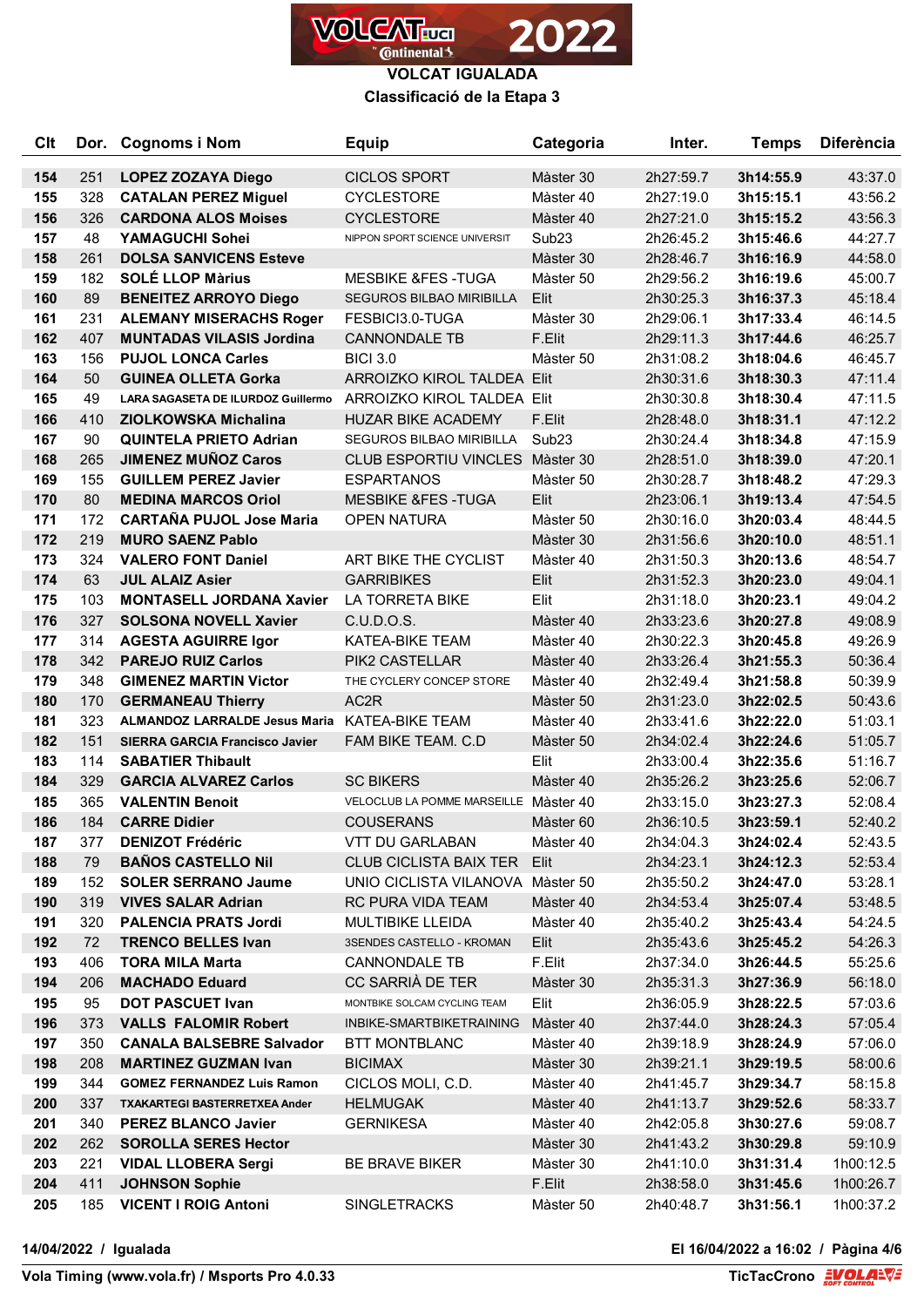

**VOLCAT IGUALADA**

## **Classificació de la Etapa 3**

| <b>Clt</b> | Dor. | <b>Cognoms i Nom</b>                  | <b>Equip</b>                          | Categoria         | Inter.    | <b>Temps</b> | <b>Diferència</b> |
|------------|------|---------------------------------------|---------------------------------------|-------------------|-----------|--------------|-------------------|
| 154        | 251  | <b>LOPEZ ZOZAYA Diego</b>             | <b>CICLOS SPORT</b>                   | Màster 30         | 2h27:59.7 | 3h14:55.9    | 43:37.0           |
| 155        | 328  | <b>CATALAN PEREZ Miguel</b>           | <b>CYCLESTORE</b>                     | Màster 40         | 2h27:19.0 | 3h15:15.1    | 43:56.2           |
| 156        | 326  | <b>CARDONA ALOS Moises</b>            | <b>CYCLESTORE</b>                     | Màster 40         | 2h27:21.0 | 3h15:15.2    | 43:56.3           |
| 157        | 48   | YAMAGUCHI Sohei                       | NIPPON SPORT SCIENCE UNIVERSIT        | Sub <sub>23</sub> | 2h26:45.2 | 3h15:46.6    | 44:27.7           |
| 158        | 261  | <b>DOLSA SANVICENS Esteve</b>         |                                       | Màster 30         | 2h28:46.7 | 3h16:16.9    | 44:58.0           |
| 159        | 182  | <b>SOLÉ LLOP Màrius</b>               | <b>MESBIKE &amp;FES-TUGA</b>          | Màster 50         | 2h29:56.2 | 3h16:19.6    | 45:00.7           |
| 160        | 89   | <b>BENEITEZ ARROYO Diego</b>          | <b>SEGUROS BILBAO MIRIBILLA</b>       | Elit              | 2h30:25.3 | 3h16:37.3    | 45:18.4           |
| 161        | 231  | <b>ALEMANY MISERACHS Roger</b>        | FESBICI3.0-TUGA                       | Màster 30         | 2h29:06.1 | 3h17:33.4    | 46:14.5           |
| 162        | 407  | <b>MUNTADAS VILASIS Jordina</b>       | <b>CANNONDALE TB</b>                  | F.Elit            | 2h29:11.3 | 3h17:44.6    | 46:25.7           |
| 163        | 156  | <b>PUJOL LONCA Carles</b>             | <b>BICI 3.0</b>                       | Màster 50         | 2h31:08.2 | 3h18:04.6    | 46:45.7           |
| 164        | 50   | <b>GUINEA OLLETA Gorka</b>            | ARROIZKO KIROL TALDEA Elit            |                   | 2h30:31.6 | 3h18:30.3    | 47:11.4           |
| 165        | 49   | LARA SAGASETA DE ILURDOZ Guillermo    | ARROIZKO KIROL TALDEA Elit            |                   | 2h30:30.8 | 3h18:30.4    | 47:11.5           |
| 166        | 410  | <b>ZIOLKOWSKA Michalina</b>           | <b>HUZAR BIKE ACADEMY</b>             | F.Elit            | 2h28:48.0 | 3h18:31.1    | 47:12.2           |
| 167        | 90   | <b>QUINTELA PRIETO Adrian</b>         | SEGUROS BILBAO MIRIBILLA              | Sub <sub>23</sub> | 2h30:24.4 | 3h18:34.8    | 47:15.9           |
| 168        | 265  | <b>JIMENEZ MUÑOZ Caros</b>            | CLUB ESPORTIU VINCLES Màster 30       |                   | 2h28:51.0 | 3h18:39.0    | 47:20.1           |
| 169        | 155  | <b>GUILLEM PEREZ Javier</b>           | <b>ESPARTANOS</b>                     | Màster 50         | 2h30:28.7 | 3h18:48.2    | 47:29.3           |
| 170        | 80   | <b>MEDINA MARCOS Oriol</b>            | <b>MESBIKE &amp;FES-TUGA</b>          | Elit              | 2h23:06.1 | 3h19:13.4    | 47:54.5           |
| 171        | 172  | <b>CARTAÑA PUJOL Jose Maria</b>       | <b>OPEN NATURA</b>                    | Màster 50         | 2h30:16.0 | 3h20:03.4    | 48:44.5           |
| 172        | 219  | <b>MURO SAENZ Pablo</b>               |                                       | Màster 30         | 2h31:56.6 | 3h20:10.0    | 48:51.1           |
| 173        | 324  | <b>VALERO FONT Daniel</b>             | ART BIKE THE CYCLIST                  | Màster 40         | 2h31:50.3 | 3h20:13.6    | 48:54.7           |
| 174        | 63   | <b>JUL ALAIZ Asier</b>                | <b>GARRIBIKES</b>                     | Elit              | 2h31:52.3 | 3h20:23.0    | 49:04.1           |
| 175        | 103  | <b>MONTASELL JORDANA Xavier</b>       | LA TORRETA BIKE                       | Elit              | 2h31:18.0 | 3h20:23.1    | 49:04.2           |
| 176        | 327  | <b>SOLSONA NOVELL Xavier</b>          | C.U.D.O.S.                            | Màster 40         | 2h33:23.6 | 3h20:27.8    | 49:08.9           |
| 177        | 314  | <b>AGESTA AGUIRRE Igor</b>            | <b>KATEA-BIKE TEAM</b>                | Màster 40         | 2h30:22.3 | 3h20:45.8    | 49:26.9           |
| 178        | 342  | <b>PAREJO RUIZ Carlos</b>             | PIK2 CASTELLAR                        | Màster 40         | 2h33:26.4 | 3h21:55.3    | 50:36.4           |
| 179        | 348  | <b>GIMENEZ MARTIN Victor</b>          | THE CYCLERY CONCEP STORE              | Màster 40         | 2h32:49.4 | 3h21:58.8    | 50:39.9           |
| 180        | 170  | <b>GERMANEAU Thierry</b>              | AC2R                                  | Màster 50         | 2h31:23.0 | 3h22:02.5    | 50:43.6           |
| 181        | 323  | <b>ALMANDOZ LARRALDE Jesus Maria</b>  | KATEA-BIKE TEAM                       | Màster 40         | 2h33:41.6 | 3h22:22.0    | 51:03.1           |
| 182        | 151  | <b>SIERRA GARCIA Francisco Javier</b> | FAM BIKE TEAM. C.D                    | Màster 50         | 2h34:02.4 | 3h22:24.6    | 51:05.7           |
| 183        | 114  | <b>SABATIER Thibault</b>              |                                       | Elit              | 2h33:00.4 | 3h22:35.6    | 51:16.7           |
| 184        | 329  | <b>GARCIA ALVAREZ Carlos</b>          | <b>SC BIKERS</b>                      | Màster 40         | 2h35:26.2 | 3h23:25.6    | 52:06.7           |
| 185        | 365  | <b>VALENTIN Benoit</b>                | VELOCLUB LA POMME MARSEILLE Màster 40 |                   | 2h33:15.0 | 3h23:27.3    | 52:08.4           |
| 186        | 184  | <b>CARRE Didier</b>                   | <b>COUSERANS</b>                      | Màster 60         | 2h36:10.5 | 3h23:59.1    | 52:40.2           |
| 187        | 377  | <b>DENIZOT Frédéric</b>               | <b>VTT DU GARLABAN</b>                | Màster 40         | 2h34:04.3 | 3h24:02.4    | 52:43.5           |
| 188        | 79   | <b>BAÑOS CASTELLO Nil</b>             | <b>CLUB CICLISTA BAIX TER</b>         | Elit              | 2h34:23.1 | 3h24:12.3    | 52:53.4           |
| 189        | 152  | <b>SOLER SERRANO Jaume</b>            | UNIO CICLISTA VILANOVA                | Màster 50         | 2h35:50.2 | 3h24:47.0    | 53:28.1           |
| 190        | 319  | <b>VIVES SALAR Adrian</b>             | RC PURA VIDA TEAM                     | Màster 40         | 2h34:53.4 | 3h25:07.4    | 53:48.5           |
| 191        | 320  | <b>PALENCIA PRATS Jordi</b>           | <b>MULTIBIKE LLEIDA</b>               | Màster 40         | 2h35:40.2 | 3h25:43.4    | 54:24.5           |
| 192        | 72   | <b>TRENCO BELLES Ivan</b>             | 3SENDES CASTELLO - KROMAN             | Elit              | 2h35:43.6 | 3h25:45.2    | 54:26.3           |
| 193        | 406  | <b>TORA MILA Marta</b>                | <b>CANNONDALE TB</b>                  | F.Elit            | 2h37:34.0 | 3h26:44.5    | 55:25.6           |
| 194        | 206  | <b>MACHADO Eduard</b>                 | CC SARRIÀ DE TER                      | Màster 30         | 2h35:31.3 | 3h27:36.9    | 56:18.0           |
| 195        | 95   | <b>DOT PASCUET Ivan</b>               | MONTBIKE SOLCAM CYCLING TEAM          | Elit              | 2h36:05.9 | 3h28:22.5    | 57:03.6           |
| 196        | 373  | <b>VALLS FALOMIR Robert</b>           | INBIKE-SMARTBIKETRAINING              | Màster 40         | 2h37:44.0 | 3h28:24.3    | 57:05.4           |
| 197        | 350  | <b>CANALA BALSEBRE Salvador</b>       | <b>BTT MONTBLANC</b>                  | Màster 40         | 2h39:18.9 | 3h28:24.9    | 57:06.0           |
| 198        | 208  | <b>MARTINEZ GUZMAN Ivan</b>           | <b>BICIMAX</b>                        | Màster 30         | 2h39:21.1 | 3h29:19.5    | 58:00.6           |
| 199        | 344  | <b>GOMEZ FERNANDEZ Luis Ramon</b>     | CICLOS MOLI, C.D.                     | Màster 40         | 2h41:45.7 | 3h29:34.7    | 58:15.8           |
| 200        | 337  | TXAKARTEGI BASTERRETXEA Ander         | <b>HELMUGAK</b>                       | Màster 40         | 2h41:13.7 | 3h29:52.6    | 58:33.7           |
| 201        | 340  | <b>PEREZ BLANCO Javier</b>            | <b>GERNIKESA</b>                      | Màster 40         | 2h42:05.8 | 3h30:27.6    | 59:08.7           |
| 202        | 262  | <b>SOROLLA SERES Hector</b>           |                                       | Màster 30         | 2h41:43.2 | 3h30:29.8    | 59:10.9           |
| 203        | 221  | <b>VIDAL LLOBERA Sergi</b>            | BE BRAVE BIKER                        | Màster 30         | 2h41:10.0 | 3h31:31.4    | 1h00:12.5         |
| 204        | 411  | <b>JOHNSON Sophie</b>                 |                                       | F.Elit            | 2h38:58.0 | 3h31:45.6    | 1h00:26.7         |
| 205        | 185  | <b>VICENT I ROIG Antoni</b>           | <b>SINGLETRACKS</b>                   | Màster 50         | 2h40:48.7 | 3h31:56.1    | 1h00:37.2         |

 $\overline{a}$ 

**14/04/2022 / Igualada El 16/04/2022 a 16:02 / Pàgina 4/6**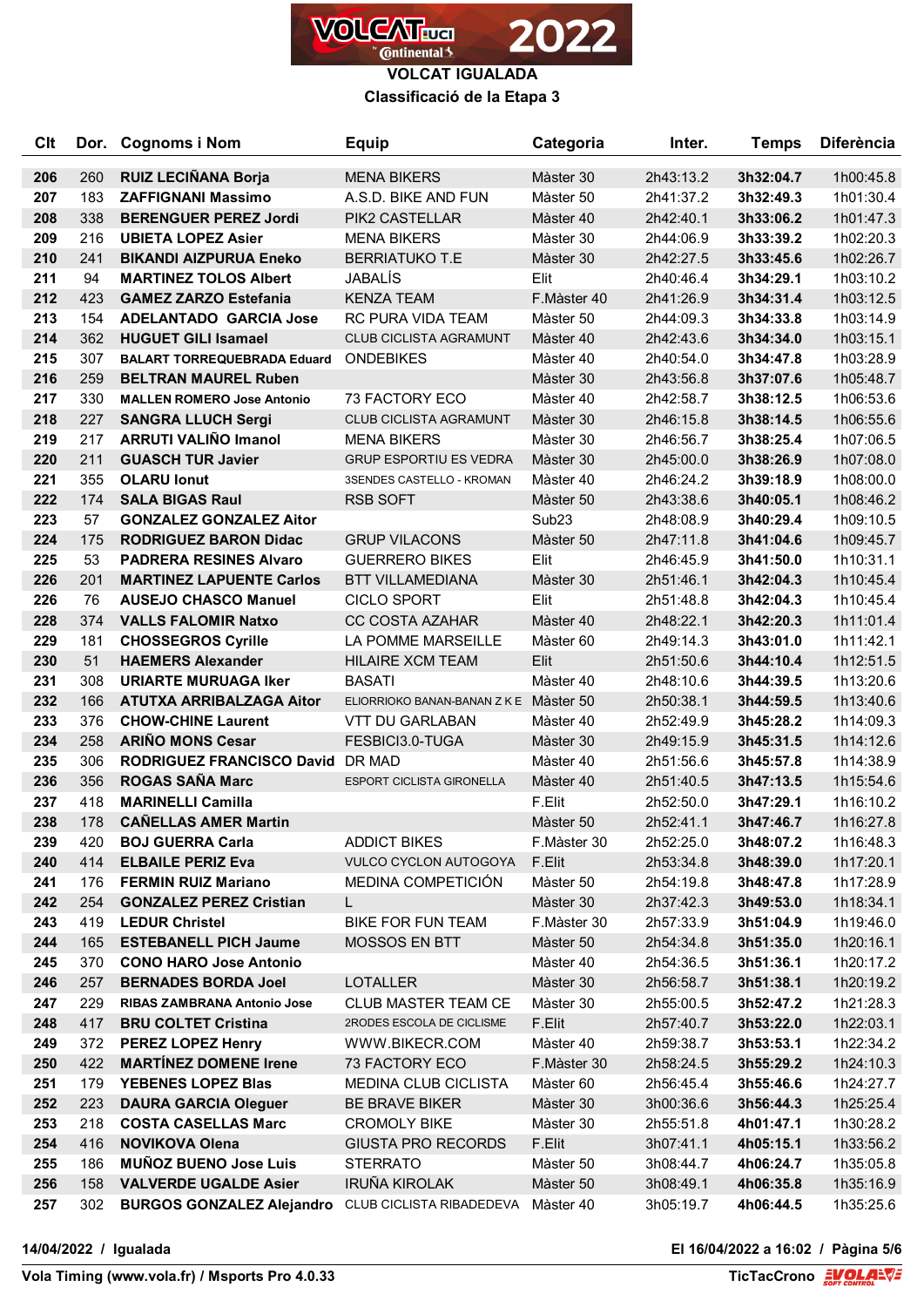

**VOLCAT IGUALADA Classificació de la Etapa 3**

| Clt        |            | Dor. Cognoms i Nom                                    | <b>Equip</b>                           | Categoria              | Inter.                 | <b>Temps</b>           | <b>Diferència</b>      |
|------------|------------|-------------------------------------------------------|----------------------------------------|------------------------|------------------------|------------------------|------------------------|
| 206        | 260        | <b>RUIZ LECIÑANA Borja</b>                            | <b>MENA BIKERS</b>                     | Màster 30              | 2h43:13.2              | 3h32:04.7              | 1h00:45.8              |
| 207        | 183        | <b>ZAFFIGNANI Massimo</b>                             | A.S.D. BIKE AND FUN                    | Màster 50              | 2h41:37.2              | 3h32:49.3              | 1h01:30.4              |
| 208        | 338        | <b>BERENGUER PEREZ Jordi</b>                          | PIK2 CASTELLAR                         | Màster 40              | 2h42:40.1              | 3h33:06.2              | 1h01:47.3              |
| 209        | 216        | <b>UBIETA LOPEZ Asier</b>                             | <b>MENA BIKERS</b>                     | Màster 30              | 2h44:06.9              | 3h33:39.2              | 1h02:20.3              |
| 210        | 241        | <b>BIKANDI AIZPURUA Eneko</b>                         | <b>BERRIATUKO T.E</b>                  | Màster 30              | 2h42:27.5              | 3h33:45.6              | 1h02:26.7              |
| 211        | 94         | <b>MARTINEZ TOLOS Albert</b>                          | JABALÍS                                | Elit                   | 2h40:46.4              | 3h34:29.1              | 1h03:10.2              |
| 212        | 423        | <b>GAMEZ ZARZO Estefania</b>                          | <b>KENZA TEAM</b>                      | F.Màster 40            | 2h41:26.9              | 3h34:31.4              | 1h03:12.5              |
| 213        | 154        | <b>ADELANTADO GARCIA Jose</b>                         | RC PURA VIDA TEAM                      | Màster 50              | 2h44:09.3              | 3h34:33.8              | 1h03:14.9              |
| 214        | 362        | <b>HUGUET GILI Isamael</b>                            | <b>CLUB CICLISTA AGRAMUNT</b>          | Màster 40              | 2h42:43.6              | 3h34:34.0              | 1h03:15.1              |
| 215        | 307        | <b>BALART TORREQUEBRADA Eduard</b>                    | <b>ONDEBIKES</b>                       | Màster 40              | 2h40:54.0              | 3h34:47.8              | 1h03:28.9              |
| 216        | 259        | <b>BELTRAN MAUREL Ruben</b>                           |                                        | Màster 30              | 2h43:56.8              | 3h37:07.6              | 1h05:48.7              |
| 217        | 330        | <b>MALLEN ROMERO Jose Antonio</b>                     | <b>73 FACTORY ECO</b>                  | Màster 40              | 2h42:58.7              | 3h38:12.5              | 1h06:53.6              |
| 218        | 227        | <b>SANGRA LLUCH Sergi</b>                             | <b>CLUB CICLISTA AGRAMUNT</b>          | Màster 30              | 2h46:15.8              | 3h38:14.5              | 1h06:55.6              |
| 219        | 217        | <b>ARRUTI VALIÑO Imanol</b>                           | <b>MENA BIKERS</b>                     | Màster 30              | 2h46:56.7              | 3h38:25.4              | 1h07:06.5              |
| 220        | 211        | <b>GUASCH TUR Javier</b>                              | <b>GRUP ESPORTIU ES VEDRA</b>          | Màster 30              | 2h45:00.0              | 3h38:26.9              | 1h07:08.0              |
| 221        | 355        | <b>OLARU lonut</b>                                    | 3SENDES CASTELLO - KROMAN              | Màster 40              | 2h46:24.2              | 3h39:18.9              | 1h08:00.0              |
| 222        | 174        | <b>SALA BIGAS Raul</b>                                | <b>RSB SOFT</b>                        | Màster 50              | 2h43:38.6              | 3h40:05.1              | 1h08:46.2              |
| 223        | 57         | <b>GONZALEZ GONZALEZ Aitor</b>                        |                                        | Sub <sub>23</sub>      | 2h48:08.9              | 3h40:29.4              | 1h09:10.5              |
| 224        | 175        | <b>RODRIGUEZ BARON Didac</b>                          | <b>GRUP VILACONS</b>                   | Màster 50              | 2h47:11.8              | 3h41:04.6              | 1h09:45.7              |
| 225        | 53         | <b>PADRERA RESINES Alvaro</b>                         | <b>GUERRERO BIKES</b>                  | Elit                   | 2h46:45.9              | 3h41:50.0              | 1h10:31.1              |
| 226        | 201        | <b>MARTINEZ LAPUENTE Carlos</b>                       | <b>BTT VILLAMEDIANA</b>                | Màster 30              | 2h51:46.1              | 3h42:04.3              | 1h10:45.4              |
| 226        | 76         | <b>AUSEJO CHASCO Manuel</b>                           | <b>CICLO SPORT</b>                     | Elit                   | 2h51:48.8              | 3h42:04.3              | 1h10:45.4              |
| 228        | 374        | <b>VALLS FALOMIR Natxo</b>                            | <b>CC COSTA AZAHAR</b>                 | Màster 40              | 2h48:22.1              | 3h42:20.3              | 1h11:01.4              |
| 229        | 181        | <b>CHOSSEGROS Cyrille</b>                             | LA POMME MARSEILLE                     | Màster 60              | 2h49:14.3              | 3h43:01.0              | 1h11:42.1              |
| 230        | 51         | <b>HAEMERS Alexander</b>                              | <b>HILAIRE XCM TEAM</b>                | Elit                   | 2h51:50.6              | 3h44:10.4              | 1h12:51.5              |
| 231        | 308        | <b>URIARTE MURUAGA Iker</b>                           | <b>BASATI</b>                          | Màster 40              | 2h48:10.6              | 3h44:39.5              | 1h13:20.6              |
| 232        | 166        | <b>ATUTXA ARRIBALZAGA Aitor</b>                       | ELIORRIOKO BANAN-BANAN Z K E Màster 50 |                        | 2h50:38.1              | 3h44:59.5              | 1h13:40.6              |
| 233        | 376        | <b>CHOW-CHINE Laurent</b>                             | <b>VTT DU GARLABAN</b>                 | Màster 40              | 2h52:49.9              | 3h45:28.2              | 1h14:09.3              |
| 234        | 258        | <b>ARIÑO MONS Cesar</b>                               | FESBICI3.0-TUGA                        | Màster 30              | 2h49:15.9              | 3h45:31.5              | 1h14:12.6              |
| 235        | 306        | <b>RODRIGUEZ FRANCISCO David</b>                      | DR MAD                                 | Màster 40              | 2h51:56.6              | 3h45:57.8              | 1h14:38.9              |
| 236        | 356        | <b>ROGAS SAÑA Marc</b>                                | ESPORT CICLISTA GIRONELLA              | Màster 40              | 2h51:40.5              | 3h47:13.5              | 1h15:54.6              |
| 237        | 418        | <b>MARINELLI Camilla</b>                              |                                        | F.Elit                 | 2h52:50.0              | 3h47:29.1              | 1h16:10.2              |
| 238        | 178        | <b>CANELLAS AMER Martin</b>                           |                                        | Màster 50              | 2h52:41.1              | 3h47:46.7              | 1h16:27.8              |
| 239        | 420        | <b>BOJ GUERRA Carla</b>                               | <b>ADDICT BIKES</b>                    | F.Màster 30            | 2h52:25.0              | 3h48:07.2              | 1h16:48.3              |
| 240        | 414        | <b>ELBAILE PERIZ Eva</b>                              | VULCO CYCLON AUTOGOYA                  | F.Elit                 | 2h53:34.8              | 3h48:39.0              | 1h17:20.1              |
| 241        | 176        | <b>FERMIN RUIZ Mariano</b>                            | MEDINA COMPETICIÓN                     | Màster 50              | 2h54:19.8              | 3h48:47.8              | 1h17:28.9              |
| 242        | 254        | <b>GONZALEZ PEREZ Cristian</b>                        | L.                                     | Màster 30              | 2h37:42.3              | 3h49:53.0              | 1h18:34.1              |
| 243        | 419        | <b>LEDUR Christel</b>                                 | <b>BIKE FOR FUN TEAM</b>               | F.Màster 30            | 2h57:33.9              | 3h51:04.9              | 1h19:46.0              |
| 244        | 165        | <b>ESTEBANELL PICH Jaume</b>                          | MOSSOS EN BTT                          | Màster 50              | 2h54:34.8              | 3h51:35.0              | 1h20:16.1              |
| 245        | 370        | <b>CONO HARO Jose Antonio</b>                         |                                        | Màster 40              | 2h54:36.5              | 3h51:36.1              | 1h20:17.2              |
| 246        | 257        | <b>BERNADES BORDA Joel</b>                            | <b>LOTALLER</b>                        | Màster 30              | 2h56:58.7              | 3h51:38.1              | 1h20:19.2              |
| 247        | 229        | RIBAS ZAMBRANA Antonio Jose                           | <b>CLUB MASTER TEAM CE</b>             | Màster 30              | 2h55:00.5              | 3h52:47.2              | 1h21:28.3              |
| 248        | 417        | <b>BRU COLTET Cristina</b>                            | 2RODES ESCOLA DE CICLISME              | F.Elit                 | 2h57:40.7              | 3h53:22.0              | 1h22:03.1              |
| 249        | 372        | <b>PEREZ LOPEZ Henry</b>                              | WWW.BIKECR.COM                         | Màster 40              | 2h59:38.7              | 3h53:53.1              | 1h22:34.2              |
| 250        | 422        | <b>MARTINEZ DOMENE Irene</b>                          | 73 FACTORY ECO                         | F.Màster 30            | 2h58:24.5              | 3h55:29.2              | 1h24:10.3              |
| 251        | 179        | <b>YEBENES LOPEZ Blas</b>                             | <b>MEDINA CLUB CICLISTA</b>            | Màster 60              | 2h56:45.4              | 3h55:46.6              | 1h24:27.7              |
| 252        | 223        | <b>DAURA GARCIA Oleguer</b>                           | BE BRAVE BIKER                         | Màster 30              | 3h00:36.6              | 3h56:44.3              | 1h25:25.4              |
| 253        | 218        | <b>COSTA CASELLAS Marc</b>                            | <b>CROMOLY BIKE</b>                    | Màster 30              | 2h55:51.8              | 4h01:47.1              | 1h30:28.2              |
| 254<br>255 | 416<br>186 | <b>NOVIKOVA Olena</b><br><b>MUÑOZ BUENO Jose Luis</b> | <b>GIUSTA PRO RECORDS</b>              | F.Elit                 | 3h07:41.1              | 4h05:15.1              | 1h33:56.2              |
|            | 158        | <b>VALVERDE UGALDE Asier</b>                          | <b>STERRATO</b><br>IRUÑA KIROLAK       | Màster 50              | 3h08:44.7              | 4h06:24.7              | 1h35:05.8              |
| 256<br>257 | 302        | <b>BURGOS GONZALEZ Alejandro</b>                      | CLUB CICLISTA RIBADEDEVA               | Màster 50<br>Màster 40 | 3h08:49.1<br>3h05:19.7 | 4h06:35.8<br>4h06:44.5 | 1h35:16.9<br>1h35:25.6 |
|            |            |                                                       |                                        |                        |                        |                        |                        |

**14/04/2022 / Igualada El 16/04/2022 a 16:02 / Pàgina 5/6**